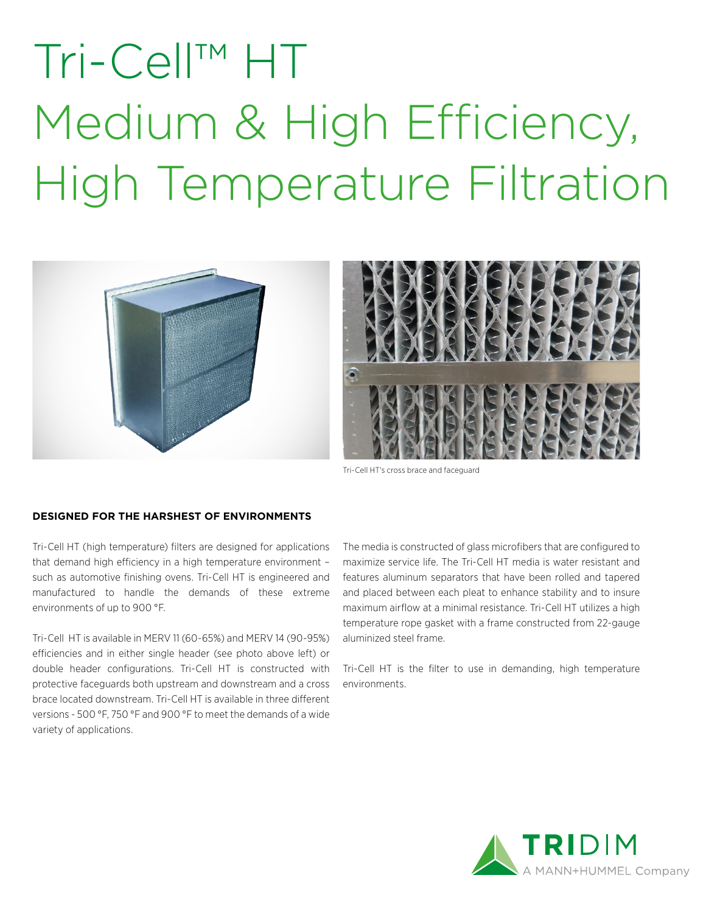# Tri-Cell™ HT Medium & High Efficiency, High Temperature Filtration





Tri-Cell HT's cross brace and faceguard

### **DESIGNED FOR THE HARSHEST OF ENVIRONMENTS**

Tri-Cell HT (high temperature) filters are designed for applications that demand high efficiency in a high temperature environment – such as automotive finishing ovens. Tri-Cell HT is engineered and manufactured to handle the demands of these extreme environments of up to 900 °F.

Tri-Cell HT is available in MERV 11 (60-65%) and MERV 14 (90-95%) efficiencies and in either single header (see photo above left) or double header configurations. Tri-Cell HT is constructed with protective faceguards both upstream and downstream and a cross brace located downstream. Tri-Cell HT is available in three different versions - 500 °F, 750 °F and 900 °F to meet the demands of a wide variety of applications.

The media is constructed of glass microfibers that are configured to maximize service life. The Tri-Cell HT media is water resistant and features aluminum separators that have been rolled and tapered and placed between each pleat to enhance stability and to insure maximum airflow at a minimal resistance. Tri-Cell HT utilizes a high temperature rope gasket with a frame constructed from 22-gauge aluminized steel frame.

Tri-Cell HT is the filter to use in demanding, high temperature environments.